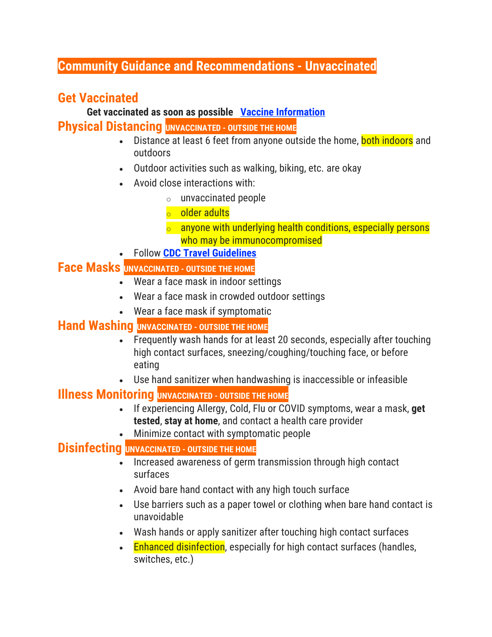### **Community Guidance and Recommendations - Unvaccinated**

# **Get Vaccinated**

**Get vaccinated as soon as possible Vaccine [Information](https://app.lincoln.ne.gov/city/covid19/vaccine.htm) Physical Distancing <b>UNVACCINATED** - OUTSIDE THE HOME

- Distance at least 6 feet from anyone outside the home, both indoors and outdoors
- Outdoor activities such as walking, biking, etc. are okay
- Avoid close interactions with:
	- $\circ$  unvaccinated people
	- <sup>o</sup> older adults
	- o anyone with underlying health conditions, especially persons who may be immunocompromised
- Follow **CDC Travel [Guidelines](https://www.cdc.gov/coronavirus/2019-ncov/travelers/index.html)**

#### **Face Masks UNVACCINATED - OUTSIDE THE HOME**

- Wear a face mask in indoor settings
- Wear a face mask in crowded outdoor settings
- Wear a face mask if symptomatic

## **Hand Washing UNVACCINATED - OUTSIDE THE HOME**

- Frequently wash hands for at least 20 seconds, especially after touching high contact surfaces, sneezing/coughing/touching face, or before eating
- Use hand sanitizer when handwashing is inaccessible or infeasible

#### **Illness Monitoring UNVACCINATED - OUTSIDE THE HOME**

- If experiencing Allergy, Cold, Flu or COVID symptoms, wear a mask, **get tested**, **stay at home**, and contact a health care provider
- Minimize contact with symptomatic people

#### **Disinfecting UNVACCINATED - OUTSIDE THE HOME**

- Increased awareness of germ transmission through high contact surfaces
- Avoid bare hand contact with any high touch surface
- Use barriers such as a paper towel or clothing when bare hand contact is unavoidable
- Wash hands or apply sanitizer after touching high contact surfaces
- Enhanced disinfection, especially for high contact surfaces (handles, switches, etc.)